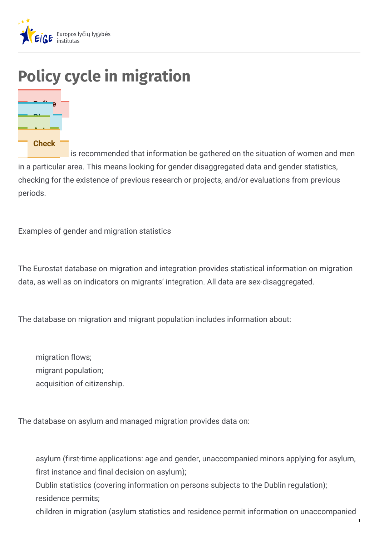

# **Policy cycle in migration**



is recommended that information be gathered on the situation of women and men in a particular area. This means looking for gender disaggregated data and gender statistics, checking for the existence of previous research or projects, and/or evaluations from previous periods.

Examples of gender and migration statistics

The Eurostat database on migration and integration provides statistical information on migration data, as well as on indicators on migrants' integration. All data are sex-disaggregated.

The database on migration and migrant population includes information about:

migration flows; migrant population; acquisition of citizenship.

The database on asylum and managed migration provides data on:

asylum (first-time applications: age and gender, unaccompanied minors applying for asylum, first instance and final decision on asylum);

Dublin statistics (covering information on persons subjects to the Dublin regulation); residence permits;

children in migration (asylum statistics and residence permit information on unaccompanied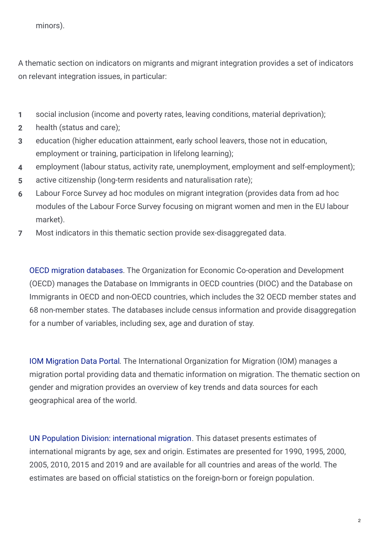A thematic section on indicators on migrants and migrant integration provides a set of indicators on relevant integration issues, in particular:

- **1** social inclusion (income and poverty rates, leaving conditions, material deprivation);
- **2** health (status and care);
- education (higher education attainment, early school leavers, those not in education, employment or training, participation in lifelong learning); **3**
- **4** employment (labour status, activity rate, unemployment, employment and self-employment);
- **5** active citizenship (long-term residents and naturalisation rate);
- Labour Force Survey ad hoc modules on migrant integration (provides data from ad hoc modules of the Labour Force Survey focusing on migrant women and men in the EU labour market). **6**
- **7** Most indicators in this thematic section provide sex-disaggregated data.

OECD migration [databases](http://www.oecd.org/els/mig/oecdmigrationdatabases.htm). The Organization for Economic Co-operation and Development (OECD) manages the Database on Immigrants in OECD countries (DIOC) and the Database on Immigrants in OECD and non-OECD countries, which includes the 32 OECD member states and 68 non-member states. The databases include census information and provide disaggregation for a number of variables, including sex, age and duration of stay.

IOM [Migration](https://migrationdataportal.org/themes/gender) Data Portal. The International Organization for Migration (IOM) manages a migration portal providing data and thematic information on migration. The thematic section on gender and migration provides an overview of key trends and data sources for each geographical area of the world.

UN Population Division: [international](https://www.un.org/en/development/desa/population/migration/data/estimates2/estimates19.asp) migration. This dataset presents estimates of international migrants by age, sex and origin. Estimates are presented for 1990, 1995, 2000, 2005, 2010, 2015 and 2019 and are available for all countries and areas of the world. The estimates are based on official statistics on the foreign-born or foreign population.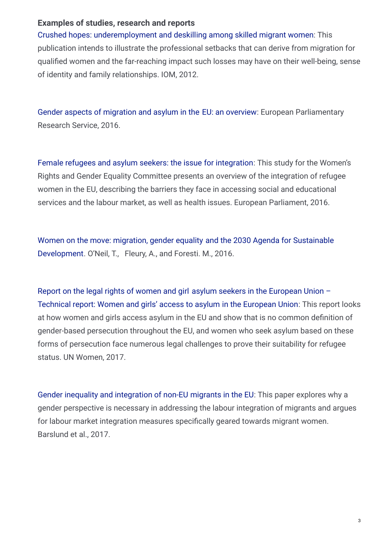#### **Examples of studies, research and reports**

Crushed hopes: [underemployment](https://publications.iom.int/books/crushed-hopes-underemployment-and-deskilling-among-skilled-migrant-women) and deskilling among skilled [migrant](https://publications.iom.int/books/crushed-hopes-underemployment-and-deskilling-among-skilled-migrant-women) women: This publication intends to illustrate the professional setbacks that can derive from migration for qualified women and the far-reaching impact such losses may have on their well-being, sense of identity and family relationships. IOM, 2012.

Gender aspects of [migration](https://www.europarl.europa.eu/RegData/etudes/BRIE/2016/579072/EPRS_BRI(2016)579072_EN.pdf) and asylum in the EU: an [overview](https://www.europarl.europa.eu/RegData/etudes/BRIE/2016/579072/EPRS_BRI(2016)579072_EN.pdf): European Parliamentary Research Service, 2016.

Female [refugees](http://www.europarl.europa.eu/RegData/etudes/STUD/2016/556929/IPOL_STU(2016)556929_EN.pdf) and asylum seekers: the issue for [integration](http://www.europarl.europa.eu/RegData/etudes/STUD/2016/556929/IPOL_STU(2016)556929_EN.pdf): This study for the Women's Rights and Gender Equality Committee presents an overview of the integration of refugee women in the EU, describing the barriers they face in accessing social and educational services and the labour market, as well as health issues. European Parliament, 2016.

Women on the move: [migration,](https://www.odi.org/publications/10476-women-move-migration-gender-equality-and-2030-agenda-sustainable-development) gender equality and the 2030 Agenda for Sustainable [Development.](https://www.odi.org/publications/10476-women-move-migration-gender-equality-and-2030-agenda-sustainable-development) O'Neil, T., Fleury, A., and Foresti. M., 2016.

Report on the legal rights of [women](https://www.refworld.org/pdfid/59201c884.pdf) and girl asylum seekers in the [European](https://www.refworld.org/pdfid/59201c884.pdf) Union – Technical report: [Women](https://www.refworld.org/pdfid/59201c884.pdf) and girls' access to asylum in the [European](https://www.refworld.org/pdfid/59201c884.pdf) Union: This report looks at how women and girls access asylum in the EU and show that is no common definition of gender-based persecution throughout the EU, and women who seek asylum based on these forms of persecution face numerous legal challenges to prove their suitability for refugee status. UN Women, 2017.

Gender inequality and [integration](https://www.ceps.eu/publications/gender-inequality-and-integration-non-eu-migrants-eu) of non-EU [migrants](https://www.ceps.eu/publications/gender-inequality-and-integration-non-eu-migrants-eu) in the EU: This paper explores why a gender perspective is necessary in addressing the labour integration of migrants and argues for labour market integration measures specifically geared towards migrant women. Barslund et al., 2017.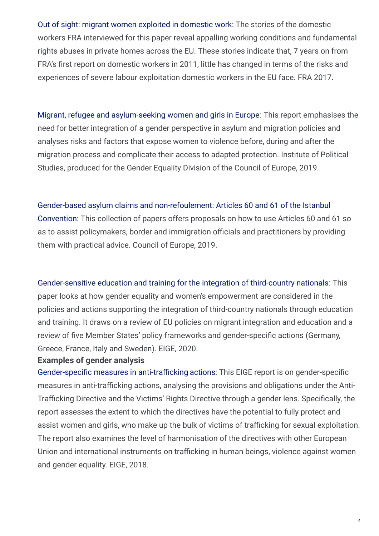Out of sight: migrant women [exploited](https://fra.europa.eu/en/publication/2018/out-sight-migrant-women-exploited-domestic-work) in do[mestic](https://fra.europa.eu/en/publication/2018/out-sight-migrant-women-exploited-domestic-work) work: The stories of the domestic workers FRA interviewed for this paper reveal appalling working conditions and fundamental rights abuses in private homes across the EU. These stories indicate that, 7 years on from FRA's first report on domestic workers in 2011, little has changed in terms of the risks and experiences of severe labour exploitation domestic workers in the EU face. FRA 2017.

Migrant, refugee and [asylum-seeking](https://rm.coe.int/report-migrant-women-scpo-jan-2019/168092d8cd) women and girls in [Europe](https://rm.coe.int/report-migrant-women-scpo-jan-2019/168092d8cd): This report emphasises the need for better integration of a gender perspective in asylum and migration policies and analyses risks and factors that expose women to violence before, during and after the migration process and complicate their access to adapted protection. Institute of Political Studies, produced for the Gender Equality Division of the Council of Europe, 2019.

#### [Gender-based](https://rm.coe.int/conventionistanbularticle60-61-web/1680995244) asylum claims and [non-refoulement:](https://rm.coe.int/conventionistanbularticle60-61-web/1680995244) Articles 60 and 61 of the Istanbul

Co[nvention](https://rm.coe.int/conventionistanbularticle60-61-web/1680995244): This collection of papers offers proposals on how to use Articles 60 and 61 so as to assist policymakers, border and immigration officials and practitioners by providing them with practical advice. Council of Europe, 2019.

#### [Gender-sensitive](https://eige.europa.eu/publications/gender-sensitive-education-and-training-integration-third-country-nationals-study) education and training for the integration of [third-country](https://eige.europa.eu/publications/gender-sensitive-education-and-training-integration-third-country-nationals-study) nationals: This

paper looks at how gender equality and women's empowerment are considered in the policies and actions supporting the integration of third-country nationals through education and training. It draws on a review of EU policies on migrant integration and education and a review of five Member States' policy frameworks and gender-specific actions (Germany, Greece, France, Italy and Sweden). EIGE, 2020.

#### **Examples of gender analysis**

Gender-specific measures in anti-trafficking [actions](https://eige.europa.eu/publications/gender-specific-measures-anti-trafficking-actions-report): This EIGE report is on gender-specific measures in anti-trafficking actions, analysing the provisions and obligations under the Anti-Trafficking Directive and the Victims' Rights Directive through a gender lens. Specifically, the report assesses the extent to which the directives have the potential to fully protect and assist women and girls, who make up the bulk of victims of trafficking for sexual exploitation. The report also examines the level of harmonisation of the directives with other European Union and international instruments on trafficking in human beings, violence against women and gender equality. EIGE, 2018.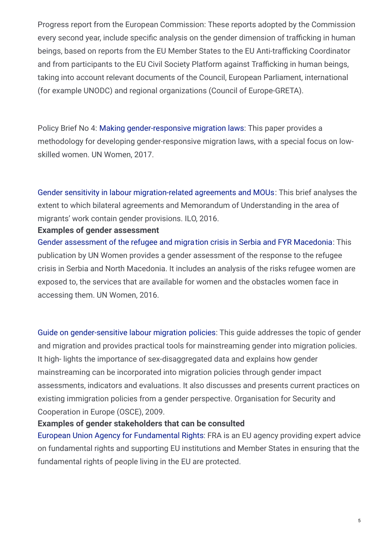Progress report from the European Commission: These reports adopted by the Commission every second year, include specific analysis on the gender dimension of trafficking in human beings, based on reports from the EU Member States to the EU Anti-trafficking Coordinator and from participants to the EU Civil Society Platform against Trafficking in human beings, taking into account relevant documents of the Council, European Parliament, international (for example UNODC) and regional organizations (Council of Europe-GRETA).

Policy Brief No 4: Making [gender-responsive](http://www.unwomen.org/en/digital-library/publications/2017/7/making-gender-responsive-migration-laws) [migration](http://www.unwomen.org/en/digital-library/publications/2017/7/making-gender-responsive-migration-laws) laws: This paper provides a methodology for developing gender-responsive migration laws, with a special focus on lowskilled women. UN Women, 2017.

Gender sensitivity in labour [migration-related](https://www.ilo.org/global/topics/labour-migration/projects/gap/publications/WCMS_467721/lang--en/index.htm) [agreements](https://www.ilo.org/global/topics/labour-migration/projects/gap/publications/WCMS_467721/lang--en/index.htm) and MOUs: This brief analyses the extent to which bilateral agreements and Memorandum of Understanding in the area of migrants' work contain gender provisions. ILO, 2016.

#### **Examples of gender assessment**

Gender [assessment](http://eca.unwomen.org/en/digital-library/publications/2016/01/gender-assessment-of-the-refugee-and-migration-crisis-in-serbia-and-fyr-macedonia) of the refugee and migration crisis in Serbia and FYR [Macedonia](http://eca.unwomen.org/en/digital-library/publications/2016/01/gender-assessment-of-the-refugee-and-migration-crisis-in-serbia-and-fyr-macedonia): This publication by UN Women provides a gender assessment of the response to the refugee crisis in Serbia and North Macedonia. It includes an analysis of the risks refugee women are exposed to, the services that are available for women and the obstacles women face in accessing them. UN Women, 2016.

Guide on [gender-sensitive](https://www.osce.org/secretariat/37228?download=true) labour migration [policies:](https://www.osce.org/secretariat/37228?download=true) This guide addresses the topic of gender and migration and provides practical tools for mainstreaming gender into migration policies. It high- lights the importance of sex-disaggregated data and explains how gender mainstreaming can be incorporated into migration policies through gender impact assessments, indicators and evaluations. It also discusses and presents current practices on existing immigration policies from a gender perspective. Organisation for Security and Cooperation in Europe (OSCE), 2009.

#### **Examples of gender stakeholders that can be consulted**

European Union Agency for [Fundamental](http://fra.europa.eu/en) Rights: FRA is an EU agency providing expert advice on fundamental rights and supporting EU institutions and Member States in ensuring that the fundamental rights of people living in the EU are protected.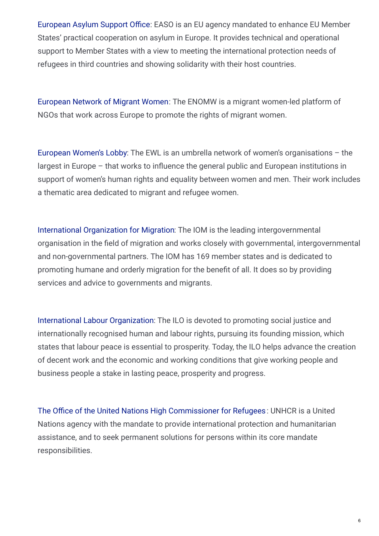[European](https://www.easo.europa.eu/) Asylum Support Office: EASO is an EU agency mandated to enhance EU Member States' practical cooperation on asylum in Europe. It provides technical and operational support to Member States with a view to meeting the international protection needs of refugees in third countries and showing solidarity with their host countries.

[European](http://www.migrantwomennetwork.org/) Network of Migrant Women: The ENOMW is a migrant women-led platform of NGOs that work across Europe to promote the rights of migrant women.

[European](https://www.womenlobby.org/-Immigration-Integration-and-Asylum-?lang=en) Women's Lobby: The EWL is an umbrella network of women's organisations – the largest in Europe – that works to influence the general public and European institutions in support of women's human rights and equality between women and men. Their work includes a thematic area dedicated to migrant and refugee women.

International [Organization](https://www.iom.int/gender-and-migration) for Migration: The IOM is the leading intergovernmental organisation in the field of migration and works closely with governmental, intergovernmental and non-governmental partners. The IOM has 169 member states and is dedicated to promoting humane and orderly migration for the benefit of all. It does so by providing services and advice to governments and migrants.

International Labour [Organization](http://www.ilo.org/global/about-the-ilo/lang--en/index.htm): The ILO is devoted to promoting social justice and internationally recognised human and labour rights, pursuing its founding mission, which states that labour peace is essential to prosperity. Today, the ILO helps advance the creation of decent work and the economic and working conditions that give working people and business people a stake in lasting peace, prosperity and progress.

The Office of the United Nations High [Commissioner](https://www.unhcr.org/) for Refugees: UNHCR is a United Nations agency with the mandate to provide international protection and humanitarian assistance, and to seek permanent solutions for persons within its core mandate responsibilities.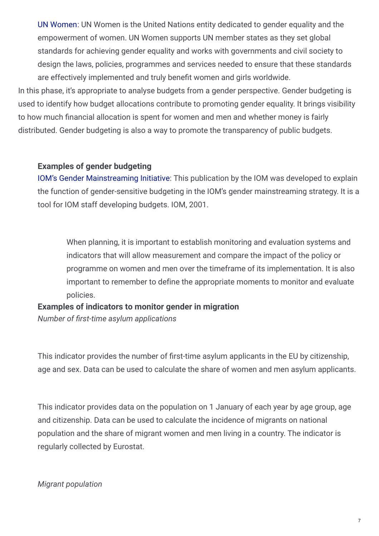UN [Women](https://www.unwomen.org/en/about-us/about-un-women): UN Women is the United Nations entity dedicated to gender equality and the empowerment of women. UN Women supports UN member states as they set global standards for achieving gender equality and works with governments and civil society to design the laws, policies, programmes and services needed to ensure that these standards are effectively implemented and truly benefit women and girls worldwide.

In this phase, it's appropriate to analyse budgets from a gender perspective. Gender budgeting is used to identify how budget allocations contribute to promoting gender equality. It brings visibility to how much financial allocation is spent for women and men and whether money is fairly distributed. Gender budgeting is also a way to promote the transparency of public budgets.

#### **Examples of gender budgeting**

IOM's Gender [Mainstreaming](https://www.iom.int/jahia/webdav/site/myjahiasite/shared/shared/mainsite/media/sp/GIC_Council_Nov2001.pdf) Initiative: This publication by the IOM was developed to explain the function of gender-sensitive budgeting in the IOM's gender mainstreaming strategy. It is a tool for IOM staff developing budgets. IOM, 2001.

When planning, it is important to establish monitoring and evaluation systems and indicators that will allow measurement and compare the impact of the policy or programme on women and men over the timeframe of its implementation. It is also important to remember to define the appropriate moments to monitor and evaluate policies.

## **Examples of indicators to monitor gender in migration**

*Number of rst-time asylum applications*

This indicator provides the number of first-time asylum applicants in the EU by citizenship, age and sex. Data can be used to calculate the share of women and men asylum applicants.

This indicator provides data on the population on 1 January of each year by age group, age and citizenship. Data can be used to calculate the incidence of migrants on national population and the share of migrant women and men living in a country. The indicator is regularly collected by Eurostat.

#### *Migrant population*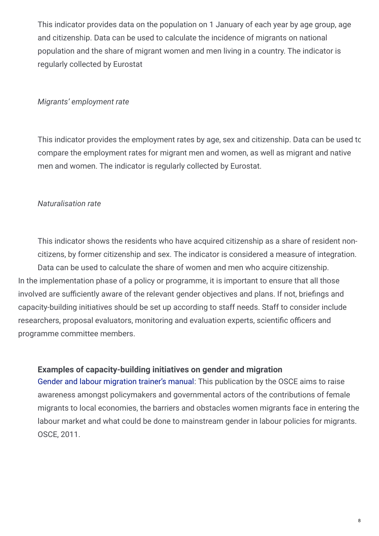This indicator provides data on the population on 1 January of each year by age group, age and citizenship. Data can be used to calculate the incidence of migrants on national population and the share of migrant women and men living in a country. The indicator is regularly collected by Eurostat

#### *Migrants' employment rate*

This indicator provides the employment rates by age, sex and citizenship. Data can be used to compare the employment rates for migrant men and women, as well as migrant and native men and women. The indicator is regularly collected by Eurostat.

#### *Naturalisation rate*

This indicator shows the residents who have acquired citizenship as a share of resident noncitizens, by former citizenship and sex. The indicator is considered a measure of integration. Data can be used to calculate the share of women and men who acquire citizenship. In the implementation phase of a policy or programme, it is important to ensure that all those involved are sufficiently aware of the relevant gender objectives and plans. If not, briefings and capacity-building initiatives should be set up according to staff needs. Staff to consider include researchers, proposal evaluators, monitoring and evaluation experts, scientific officers and programme committee members.

#### **Examples of capacity-building initiatives on gender and migration**

Gender and labour [migration](http://www.osce.org/eea/67967?download=true) trainer's manual: This publication by the OSCE aims to raise awareness amongst policymakers and governmental actors of the contributions of female migrants to local economies, the barriers and obstacles women migrants face in entering the labour market and what could be done to mainstream gender in labour policies for migrants. OSCE, 2011.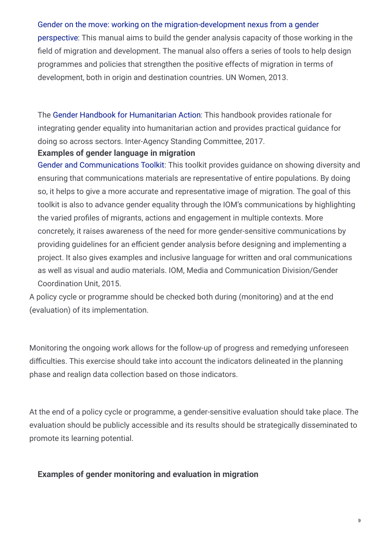#### Gender on the move: [working](https://www.unwomen.org/en/digital-library/publications/2013/12/gender-on-the-move) on the [migration-development](https://www.unwomen.org/en/digital-library/publications/2013/12/gender-on-the-move) nexus from a gender

pe[rspective](https://www.unwomen.org/en/digital-library/publications/2013/12/gender-on-the-move): This manual aims to build the gender analysis capacity of those working in the field of migration and development. The manual also offers a series of tools to help design programmes and policies that strengthen the positive effects of migration in terms of development, both in origin and destination countries. UN Women, 2013.

The Gender Handbook for [Humanitarian](https://interagencystandingcommittee.org/system/files/2018-iasc_gender_handbook_for_humanitarian_action_eng_0.pdf) Action: This handbook provides rationale for integrating gender equality into humanitarian action and provides practical guidance for doing so across sectors. Inter-Agency Standing Committee, 2017.

#### **Examples of gender language in migration**

Gender and [Communications](https://www.iom.int/sites/default/files/about-iom/gender/IOM-Gender-and-Communications-Toolkit-2015.pdf) Toolkit: This toolkit provides guidance on showing diversity and ensuring that communications materials are representative of entire populations. By doing so, it helps to give a more accurate and representative image of migration. The goal of this toolkit is also to advance gender equality through the IOM's communications by highlighting the varied profiles of migrants, actions and engagement in multiple contexts. More concretely, it raises awareness of the need for more gender-sensitive communications by providing guidelines for an efficient gender analysis before designing and implementing a project. It also gives examples and inclusive language for written and oral communications as well as visual and audio materials. IOM, Media and Communication Division/Gender Coordination Unit, 2015.

A policy cycle or programme should be checked both during (monitoring) and at the end (evaluation) of its implementation.

Monitoring the ongoing work allows for the follow-up of progress and remedying unforeseen difficulties. This exercise should take into account the indicators delineated in the planning phase and realign data collection based on those indicators.

At the end of a policy cycle or programme, a gender-sensitive evaluation should take place. The evaluation should be publicly accessible and its results should be strategically disseminated to promote its learning potential.

#### **Examples of gender monitoring and evaluation in migration**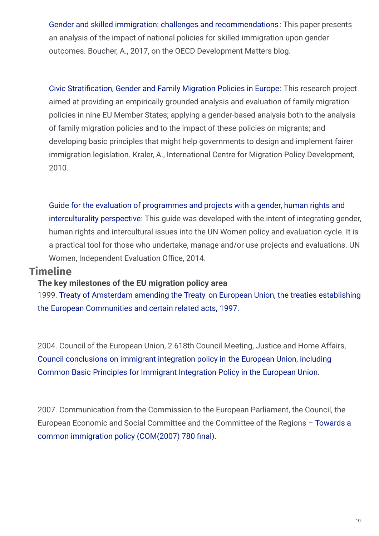Gender and skilled immigration: challenges and [recommendations](https://oecd-development-matters.org/2017/02/06/gender-and-skilled-immigration-challenges-and-recommendations/): This paper presents an analysis of the impact of national policies for skilled immigration upon gender outcomes. Boucher, A., 2017, on the OECD Development Matters blog.

Civic Stratification, Gender and Family Migration Policies in Europe: This research project aimed at providing an empirically grounded analysis and evaluation of family migration policies in nine EU Member States; applying a gender-based analysis both to the analysis of family migration policies and to the impact of these policies on migrants; and developing basic principles that might help governments to design and implement fairer immigration legislation. Kraler, A., International Centre for Migration Policy Development, 2010.

Guide for the evaluation of programmes and projects with a gender, human rights and [interculturality](http://www.unwomen.org/en/digital-library/publications/2014/7/guide-for-the-evaluation-of-programmes-and-projects-with-a-gender-perspective) perspective: This guide was developed with the intent of integrating gender, human rights and intercultural issues into the UN Women policy and evaluation cycle. It is a practical tool for those who undertake, manage and/or use projects and evaluations. UN Women, Independent Evaluation Office, 2014.

### **Timeline**

#### **The key milestones of the EU migration policy area**

1999. Treaty of [Amsterdam](https://www.europarl.europa.eu/topics/treaty/pdf/amst-en.pdf) amending the Treaty on European Union, the treaties establishing the European [Communities](http://www.europarl.europa.eu/topics/treaty/pdf/amst-en.pdf) and certain related acts, [1997.](http://www.europarl.europa.eu/topics/treaty/pdf/amst-en.pdf)

2004. Council of the European Union, 2 618th Council Meeting, Justice and Home Affairs, Council [conclusions](https://www.consilium.europa.eu/ueDocs/cms_Data/docs/pressData/en/jha/82745.pdf) on immigrant integration policy in the European Union, including Common Basic Principles for Immigrant [Integration](https://www.consilium.europa.eu/ueDocs/cms_Data/docs/pressData/en/jha/82745.pdf) Policy in the [European](https://www.consilium.europa.eu/ueDocs/cms_Data/docs/pressData/en/jha/82745.pdf) Union.

2007. Communication from the Commission to the European Parliament, the Council, the European Economic and Social Committee and the Committee of the Regions – Towards a common immigration policy [\(COM\(2007\)](http://eur-lex.europa.eu/legal-content/EN/TXT/?uri=uriserv%3Al14575) 780 final).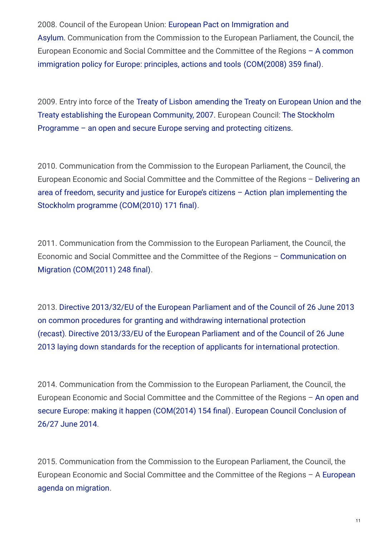2008. Council of the European Union: [European](http://eur-lex.europa.eu/legal-content/EN/TXT/?uri=URISERV%3Ajl0038) Pact on Immigration and Asylum. [Communication](http://eur-lex.europa.eu/legal-content/EN/TXT/?uri=URISERV%3Ajl0038) from the Commission to the European Parliament, the Council, the European Economic and Social Committee and the Committee of the Regions – A common immigration policy for Europe: [principles,](http://eur-lex.europa.eu/LexUriServ/LexUriServ.do?uri=COM%3A2008%3A0359%3AFIN%3AEN%3APDF) actions and tools [\(COM\(2008\)](http://eur-lex.europa.eu/LexUriServ/LexUriServ.do?uri=COM%3A2008%3A0359%3AFIN%3AEN%3APDF) 359 final).

2009. Entry into force of the Treaty of [Lisbon](https://eur-lex.europa.eu/legal-content/EN/ALL/?uri=OJ%3AC%3A2007%3A306%3ATOC) [amending](https://eur-lex.europa.eu/legal-content/EN/ALL/?uri=OJ%3AC%3A2007%3A306%3ATOC) the Treaty on European Union and the Treaty [establishing](https://eur-lex.europa.eu/legal-content/EN/ALL/?uri=OJ%3AC%3A2007%3A306%3ATOC) the European Community, 2007. European Council: The Stockholm Programme – an open and secure Europe serving and [protecting](http://eur-lex.europa.eu/LexUriServ/LexUriServ.do?uri=OJ%3AC%3A2010%3A115%3A0001%3A0038%3Aen%3APDF) [citizens.](http://eur-lex.europa.eu/LexUriServ/LexUriServ.do?uri=OJ%3AC%3A2010%3A115%3A0001%3A0038%3Aen%3APDF)

2010. Communication from the Commission to the European Parliament, the Council, the European Economic and Social Committee and the Committee of the Regions – Delivering an area of freedom, security and justice for [Europe's](http://eur-lex.europa.eu/legal-content/EN/TXT/?uri=URISERV%3Ajl0036) citizens – Action plan [implementing](http://eur-lex.europa.eu/legal-content/EN/TXT/?uri=URISERV%3Ajl0036) the Stockholm programme [\(COM\(2010\)](http://eur-lex.europa.eu/legal-content/EN/TXT/?uri=URISERV%3Ajl0036) 171 final).

2011. Communication from the Commission to the European Parliament, the Council, the Economic and Social Committee and the Committee of the Regions – [Communication](http://eur-lex.europa.eu/LexUriServ/LexUriServ.do?uri=COM%3A2011%3A0248%3AFIN%3AEN%3APDF) on Migration [\(COM\(2011\)](http://eur-lex.europa.eu/LexUriServ/LexUriServ.do?uri=COM%3A2011%3A0248%3AFIN%3AEN%3APDF) 248 final).

2013. Directive [2013/32/EU](https://eur-lex.europa.eu/legal-content/en/ALL/?uri=celex%3A32013L0032) of the European Parliament and of the Council of 26 June 2013 on common procedures for granting and [withdrawing](https://eur-lex.europa.eu/legal-content/en/ALL/?uri=celex%3A32013L0032) [international](https://eur-lex.europa.eu/legal-content/en/ALL/?uri=celex%3A32013L0032) protection (recast). Directive [2013/33/EU](https://eur-lex.europa.eu/legal-content/EN/TXT/?uri=celex%3A32013L0033) of the European Parliament and of the Council of 26 June 2013 laying down standards for the reception of [applicants](https://eur-lex.europa.eu/legal-content/EN/TXT/?uri=celex%3A32013L0033) for in[ternational](https://eur-lex.europa.eu/legal-content/EN/TXT/?uri=celex%3A32013L0033) protection.

2014. Communication from the Commission to the European Parliament, the Council, the European Economic and Social Committee and the Committee of the Regions – An open and secure Europe: making it happen [\(COM\(2014\)](https://www.consilium.europa.eu/uedocs/cms_data/docs/pressdata/en/ec/143478.pdf) 154 final). European Council Conclusion of 26/27 June 2014.

2015. Communication from the Commission to the European Parliament, the Council, the European Economic and Social [Committee](https://eur-lex.europa.eu/legal-content/EN/TXT/?uri=CELEX%3A52015DC0240) and the Committee of the Regions – A European agenda on migration.